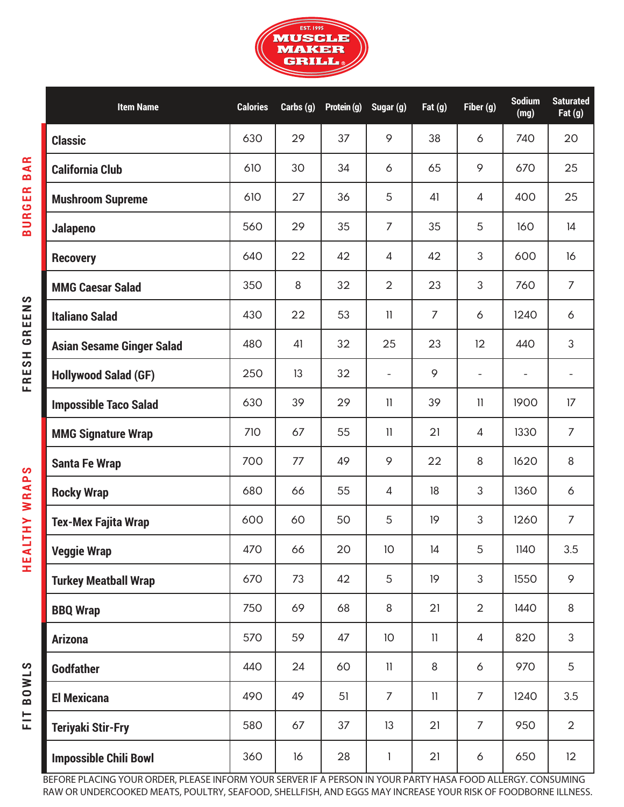

**BURGER BAR**

**BURGER BAR** 

**H E A LT H Y W R A P S FRESH GREENS**

**HEALTHY WRAPS** 

FRESH GREENS

**FIT BOWLS**

FIT BOWLS

| <b>Item Name</b>                 | <b>Calories</b> | Carbs (g) | Protein (g) | Sugar (g)                | Fat $(g)$      | Fiber (g)                | <b>Sodium</b><br>(mg)    | <b>Saturated</b><br>Fat $(g)$ |
|----------------------------------|-----------------|-----------|-------------|--------------------------|----------------|--------------------------|--------------------------|-------------------------------|
| <b>Classic</b>                   | 630             | 29        | 37          | 9                        | 38             | 6                        | 740                      | 20                            |
| <b>California Club</b>           | 610             | 30        | 34          | 6                        | 65             | 9                        | 670                      | 25                            |
| <b>Mushroom Supreme</b>          | 610             | 27        | 36          | 5                        | 41             | 4                        | 400                      | 25                            |
| Jalapeno                         | 560             | 29        | 35          | $\overline{7}$           | 35             | 5                        | 160                      | 4                             |
| <b>Recovery</b>                  | 640             | 22        | 42          | $\overline{4}$           | 42             | 3                        | 600                      | 16                            |
| <b>MMG Caesar Salad</b>          | 350             | 8         | 32          | $\overline{2}$           | 23             | 3                        | 760                      | $\overline{7}$                |
| <b>Italiano Salad</b>            | 430             | 22        | 53          | $\mathbf{1}$             | $\overline{7}$ | 6                        | 1240                     | 6                             |
| <b>Asian Sesame Ginger Salad</b> | 480             | 41        | 32          | 25                       | 23             | 12                       | 440                      | 3                             |
| <b>Hollywood Salad (GF)</b>      | 250             | 13        | 32          | $\overline{\phantom{a}}$ | 9              | $\overline{\phantom{a}}$ | $\overline{\phantom{a}}$ |                               |
| <b>Impossible Taco Salad</b>     | 630             | 39        | 29          | $\mathbf{1}$             | 39             | $\mathbf{1}$             | 1900                     | 17                            |
| <b>MMG Signature Wrap</b>        | 710             | 67        | 55          | $\mathbf{1}$             | 21             | 4                        | 1330                     | $\overline{7}$                |
| <b>Santa Fe Wrap</b>             | 700             | 77        | 49          | 9                        | 22             | 8                        | 1620                     | 8                             |
| <b>Rocky Wrap</b>                | 680             | 66        | 55          | 4                        | 18             | 3                        | 1360                     | 6                             |
| <b>Tex-Mex Fajita Wrap</b>       | 600             | 60        | 50          | 5                        | 19             | 3                        | 1260                     | $\overline{7}$                |
| <b>Veggie Wrap</b>               | 470             | 66        | 20          | 10                       | 14             | 5                        | 1140                     | 3.5                           |
| <b>Turkey Meatball Wrap</b>      | 670             | 73        | 42          | 5                        | 19             | 3                        | 1550                     | 9                             |
| <b>BBQ Wrap</b>                  | 750             | 69        | 68          | 8                        | 21             | $\overline{2}$           | 1440                     | 8                             |
| <b>Arizona</b>                   | 570             | 59        | 47          | 10                       | $\mathbf{1}$   | $\overline{4}$           | 820                      | 3                             |
| <b>Godfather</b>                 | 440             | 24        | 60          | $\mathbf{1}$             | 8              | 6                        | 970                      | 5                             |
| <b>El Mexicana</b>               | 490             | 49        | 51          | $\overline{7}$           | $\mathbf{1}$   | $\overline{7}$           | 1240                     | 3.5                           |
| <b>Teriyaki Stir-Fry</b>         | 580             | 67        | 37          | 13                       | 21             | 7                        | 950                      | $\overline{2}$                |
| <b>Impossible Chili Bowl</b>     | 360             | 16        | 28          | 1                        | 21             | 6                        | 650                      | 12                            |

BEFORE PLACING YOUR ORDER, PLEASE INFORM YOUR SERVER IF A PERSON IN YOUR PARTY HASA FOOD ALLERGY. CONSUMING RAW OR UNDERCOOKED MEATS, POULTRY, SEAFOOD, SHELLFISH, AND EGGS MAY INCREASE YOUR RISK OF FOODBORNE ILLNESS.